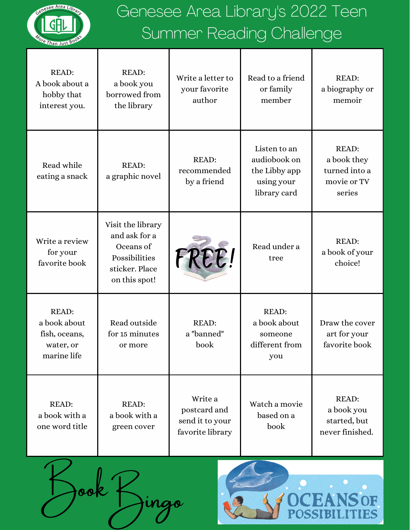

## Genesee Area Library's 2022 Teen Summer Reading Challenge

| <b>READ:</b><br>A book about a<br>hobby that<br>interest you.             | <b>READ:</b><br>a book you<br>borrowed from<br>the library                                          | Write a letter to<br>your favorite<br>author                   | Read to a friend<br>or family<br>member                                     | <b>READ:</b><br>a biography or<br>memoir                              |
|---------------------------------------------------------------------------|-----------------------------------------------------------------------------------------------------|----------------------------------------------------------------|-----------------------------------------------------------------------------|-----------------------------------------------------------------------|
| Read while<br>eating a snack                                              | <b>READ:</b><br>a graphic novel                                                                     | <b>READ:</b><br>recommended<br>by a friend                     | Listen to an<br>audiobook on<br>the Libby app<br>using your<br>library card | <b>READ:</b><br>a book they<br>turned into a<br>movie or TV<br>series |
| Write a review<br>for your<br>favorite book                               | Visit the library<br>and ask for a<br>Oceans of<br>Possibilities<br>sticker. Place<br>on this spot! | FREE!                                                          | Read under a<br>tree                                                        | <b>READ:</b><br>a book of your<br>choice!                             |
| <b>READ:</b><br>a book about<br>fish, oceans,<br>water, or<br>marine life | Read outside<br>for 15 minutes<br>or more                                                           | <b>READ:</b><br>a "banned"<br>book                             | <b>READ:</b><br>a book about<br>someone<br>different from<br>you            | Draw the cover<br>art for your<br>favorite book                       |
| <b>READ:</b><br>a book with a<br>one word title                           | <b>READ:</b><br>a book with a<br>green cover                                                        | Write a<br>postcard and<br>send it to your<br>favorite library | Watch a movie<br>based on a<br>book                                         | <b>READ:</b><br>a book you<br>started, but<br>never finished.         |